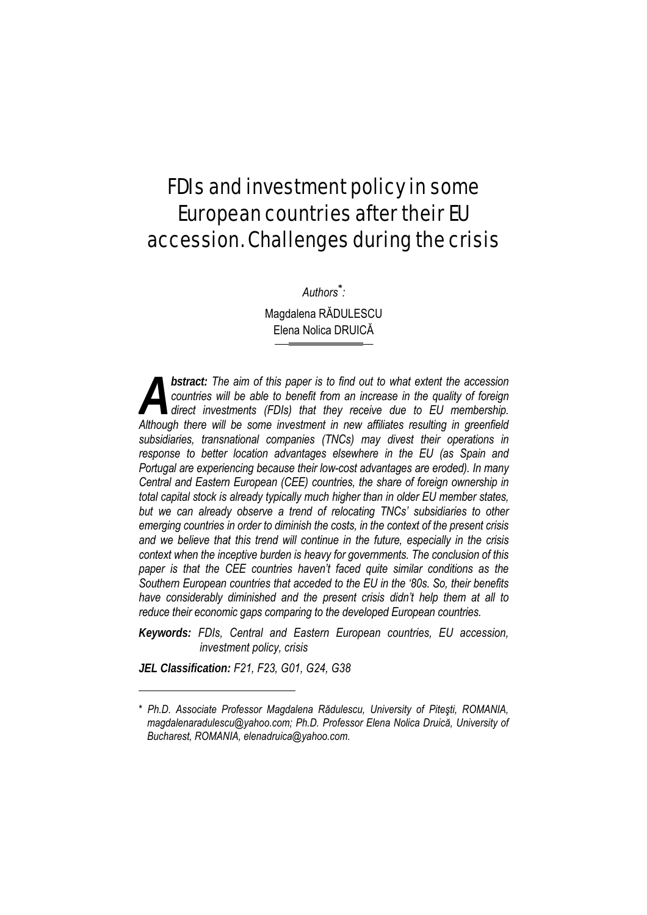# FDIs and investment policy in some European countries after their EU accession. Challenges during the crisis

*Authors\* :* 

Magdalena RĂDULESCU Elena Nolica DRUICĂ

*bstract: The aim of this paper is to find out to what extent the accession countries will be able to benefit from an increase in the quality of foreign direct investments (FDIs) that they receive due to EU membership.*  **Although there will be able to benefit from an increase in the quality of foreign direct investments (FDIs) that they receive due to EU membership.<br>Although there will be some investment in new affiliates resulting in gre** *subsidiaries, transnational companies (TNCs) may divest their operations in response to better location advantages elsewhere in the EU (as Spain and Portugal are experiencing because their low-cost advantages are eroded). In many Central and Eastern European (CEE) countries, the share of foreign ownership in total capital stock is already typically much higher than in older EU member states, but we can already observe a trend of relocating TNCs' subsidiaries to other emerging countries in order to diminish the costs, in the context of the present crisis and we believe that this trend will continue in the future, especially in the crisis context when the inceptive burden is heavy for governments. The conclusion of this paper is that the CEE countries haven't faced quite similar conditions as the Southern European countries that acceded to the EU in the '80s. So, their benefits have considerably diminished and the present crisis didn't help them at all to reduce their economic gaps comparing to the developed European countries.* 

*Keywords: FDIs, Central and Eastern European countries, EU accession, investment policy, crisis* 

*JEL Classification: F21, F23, G01, G24, G38* 

l

<sup>\*</sup> *Ph.D. Associate Professor Magdalena Rădulescu, University of Piteşti, ROMANIA, magdalenaradulescu@yahoo.com; Ph.D. Professor Elena Nolica Druică, University of Bucharest, ROMANIA, elenadruica@yahoo.com.*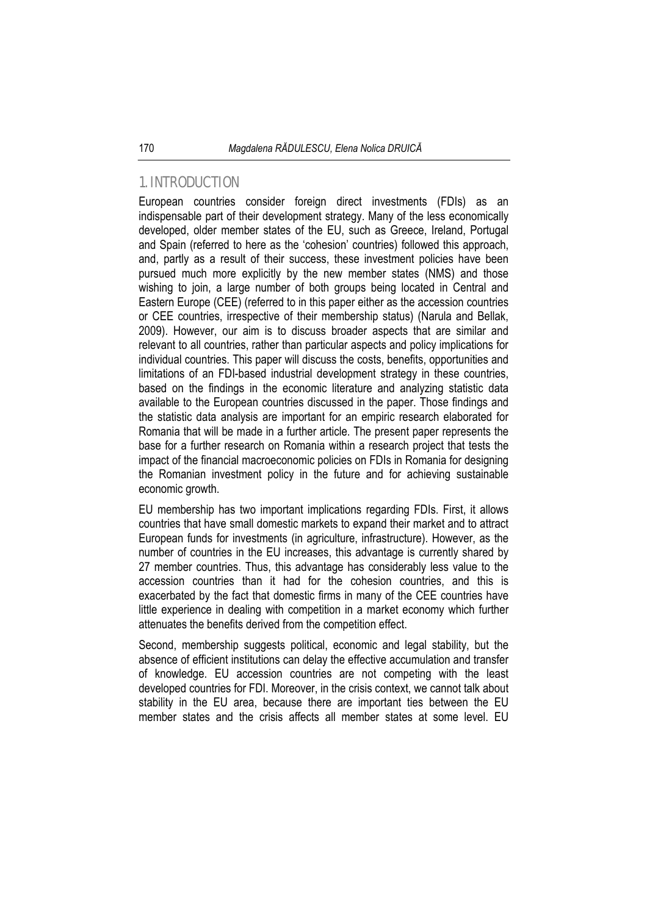## 1. INTRODUCTION

European countries consider foreign direct investments (FDIs) as an indispensable part of their development strategy. Many of the less economically developed, older member states of the EU, such as Greece, Ireland, Portugal and Spain (referred to here as the 'cohesion' countries) followed this approach, and, partly as a result of their success, these investment policies have been pursued much more explicitly by the new member states (NMS) and those wishing to join, a large number of both groups being located in Central and Eastern Europe (CEE) (referred to in this paper either as the accession countries or CEE countries, irrespective of their membership status) (Narula and Bellak, 2009). However, our aim is to discuss broader aspects that are similar and relevant to all countries, rather than particular aspects and policy implications for individual countries. This paper will discuss the costs, benefits, opportunities and limitations of an FDI-based industrial development strategy in these countries, based on the findings in the economic literature and analyzing statistic data available to the European countries discussed in the paper. Those findings and the statistic data analysis are important for an empiric research elaborated for Romania that will be made in a further article. The present paper represents the base for a further research on Romania within a research project that tests the impact of the financial macroeconomic policies on FDIs in Romania for designing the Romanian investment policy in the future and for achieving sustainable economic growth.

EU membership has two important implications regarding FDIs. First, it allows countries that have small domestic markets to expand their market and to attract European funds for investments (in agriculture, infrastructure). However, as the number of countries in the EU increases, this advantage is currently shared by 27 member countries. Thus, this advantage has considerably less value to the accession countries than it had for the cohesion countries, and this is exacerbated by the fact that domestic firms in many of the CEE countries have little experience in dealing with competition in a market economy which further attenuates the benefits derived from the competition effect.

Second, membership suggests political, economic and legal stability, but the absence of efficient institutions can delay the effective accumulation and transfer of knowledge. EU accession countries are not competing with the least developed countries for FDI. Moreover, in the crisis context, we cannot talk about stability in the EU area, because there are important ties between the EU member states and the crisis affects all member states at some level. EU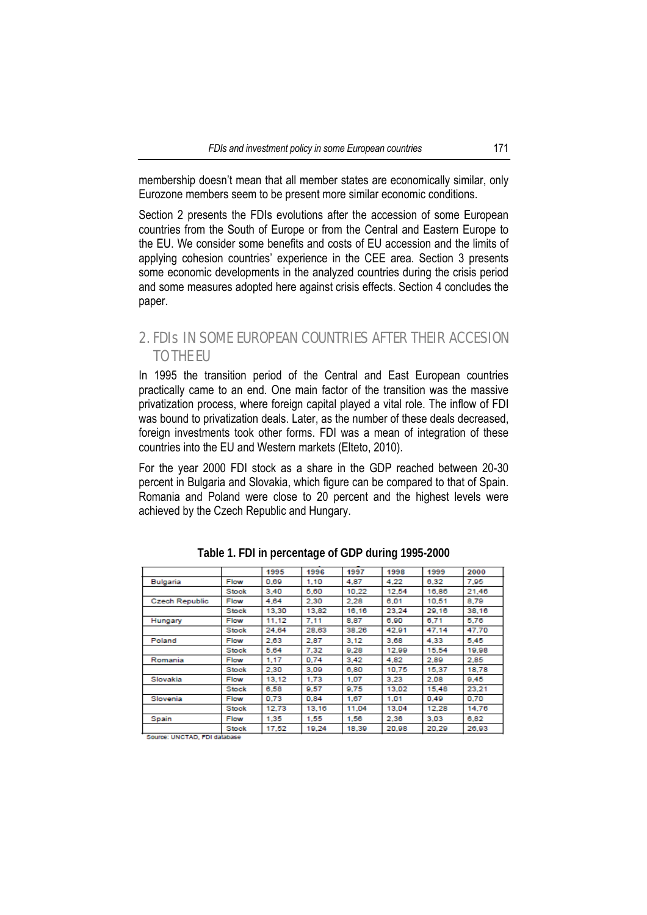membership doesn't mean that all member states are economically similar, only Eurozone members seem to be present more similar economic conditions.

Section 2 presents the FDIs evolutions after the accession of some European countries from the South of Europe or from the Central and Eastern Europe to the EU. We consider some benefits and costs of EU accession and the limits of applying cohesion countries' experience in the CEE area. Section 3 presents some economic developments in the analyzed countries during the crisis period and some measures adopted here against crisis effects. Section 4 concludes the paper.

## 2. FDIs IN SOME EUROPEAN COUNTRIES AFTER THEIR ACCESION TO THE EU

In 1995 the transition period of the Central and East European countries practically came to an end. One main factor of the transition was the massive privatization process, where foreign capital played a vital role. The inflow of FDI was bound to privatization deals. Later, as the number of these deals decreased, foreign investments took other forms. FDI was a mean of integration of these countries into the EU and Western markets (Elteto, 2010).

For the year 2000 FDI stock as a share in the GDP reached between 20-30 percent in Bulgaria and Slovakia, which figure can be compared to that of Spain. Romania and Poland were close to 20 percent and the highest levels were achieved by the Czech Republic and Hungary.

|                       |              | 1995  | 1996  | 1997  | 1998  | 1999  | 2000  |
|-----------------------|--------------|-------|-------|-------|-------|-------|-------|
| Bulgaria              | Flow         | 0.69  | 1.10  | 4.87  | 4.22  | 6,32  | 7.95  |
|                       | Stock        | 3.40  | 5.60  | 10.22 | 12.54 | 16,86 | 21.46 |
| <b>Czech Republic</b> | Flow         | 4.64  | 2.30  | 2.28  | 6.01  | 10.51 | 8.79  |
|                       | Stock        | 13.30 | 13,82 | 16,16 | 23.24 | 29.16 | 38.16 |
| Hungary               | Flow         | 11.12 | 7.11  | 8.87  | 6.90  | 6.71  | 5.76  |
|                       | Stock        | 24.64 | 28,63 | 38.26 | 42.91 | 47.14 | 47.70 |
| Poland                | Flow         | 2.63  | 2.87  | 3.12  | 3.68  | 4.33  | 5.45  |
|                       | Stock        | 5.64  | 7.32  | 9.28  | 12.99 | 15.54 | 19,98 |
| Romania               | Flow         | 1,17  | 0.74  | 3.42  | 4.82  | 2.89  | 2.85  |
|                       | <b>Stock</b> | 2.30  | 3.09  | 6.80  | 10.75 | 15,37 | 18,78 |
| Slovakia              | Flow         | 13.12 | 1.73  | 1.07  | 3.23  | 2.08  | 9.45  |
|                       | <b>Stock</b> | 6,58  | 9.57  | 9.75  | 13,02 | 15.48 | 23,21 |
| Slovenia              | Flow         | 0.73  | 0.84  | 1.67  | 1.01  | 0.49  | 0.70  |
|                       | Stock        | 12.73 | 13.16 | 11.04 | 13.04 | 12.28 | 14.76 |
| Spain                 | Flow         | 1,35  | 1.55  | 1,56  | 2.36  | 3.03  | 6,82  |
|                       | Stock        | 17.52 | 19.24 | 18.39 | 20.98 | 20.29 | 26.93 |

**Table 1. FDI in percentage of GDP during 1995-2000** 

Source: UNCTAD, FDI database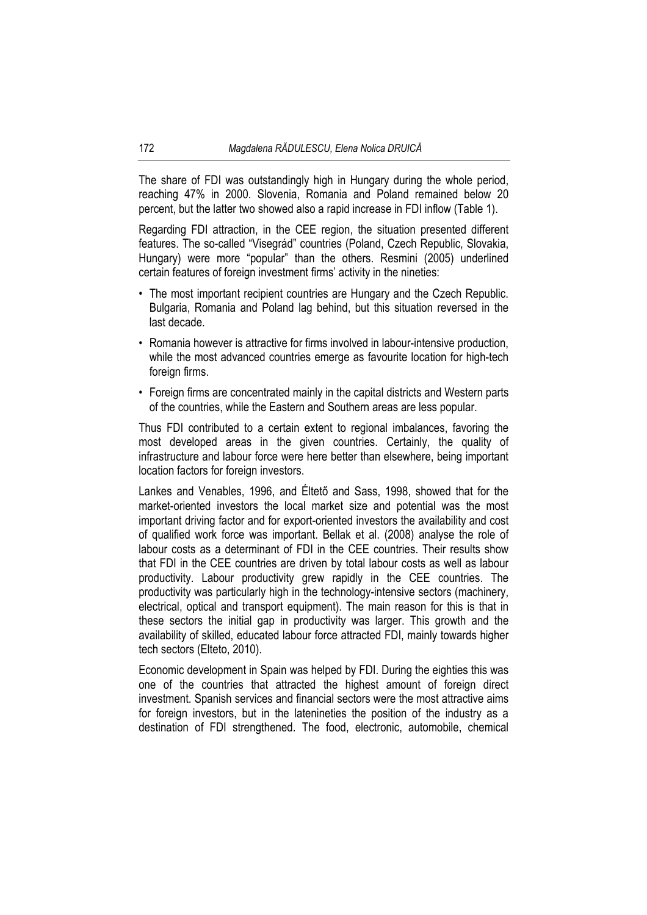The share of FDI was outstandingly high in Hungary during the whole period, reaching 47% in 2000. Slovenia, Romania and Poland remained below 20 percent, but the latter two showed also a rapid increase in FDI inflow (Table 1).

Regarding FDI attraction, in the CEE region, the situation presented different features. The so-called "Visegrád" countries (Poland, Czech Republic, Slovakia, Hungary) were more "popular" than the others. Resmini (2005) underlined certain features of foreign investment firms' activity in the nineties:

- The most important recipient countries are Hungary and the Czech Republic. Bulgaria, Romania and Poland lag behind, but this situation reversed in the last decade.
- Romania however is attractive for firms involved in labour-intensive production, while the most advanced countries emerge as favourite location for high-tech foreign firms.
- Foreign firms are concentrated mainly in the capital districts and Western parts of the countries, while the Eastern and Southern areas are less popular.

Thus FDI contributed to a certain extent to regional imbalances, favoring the most developed areas in the given countries. Certainly, the quality of infrastructure and labour force were here better than elsewhere, being important location factors for foreign investors.

Lankes and Venables, 1996, and Éltető and Sass, 1998, showed that for the market-oriented investors the local market size and potential was the most important driving factor and for export-oriented investors the availability and cost of qualified work force was important. Bellak et al. (2008) analyse the role of labour costs as a determinant of FDI in the CEE countries. Their results show that FDI in the CEE countries are driven by total labour costs as well as labour productivity. Labour productivity grew rapidly in the CEE countries. The productivity was particularly high in the technology-intensive sectors (machinery, electrical, optical and transport equipment). The main reason for this is that in these sectors the initial gap in productivity was larger. This growth and the availability of skilled, educated labour force attracted FDI, mainly towards higher tech sectors (Elteto, 2010).

Economic development in Spain was helped by FDI. During the eighties this was one of the countries that attracted the highest amount of foreign direct investment. Spanish services and financial sectors were the most attractive aims for foreign investors, but in the latenineties the position of the industry as a destination of FDI strengthened. The food, electronic, automobile, chemical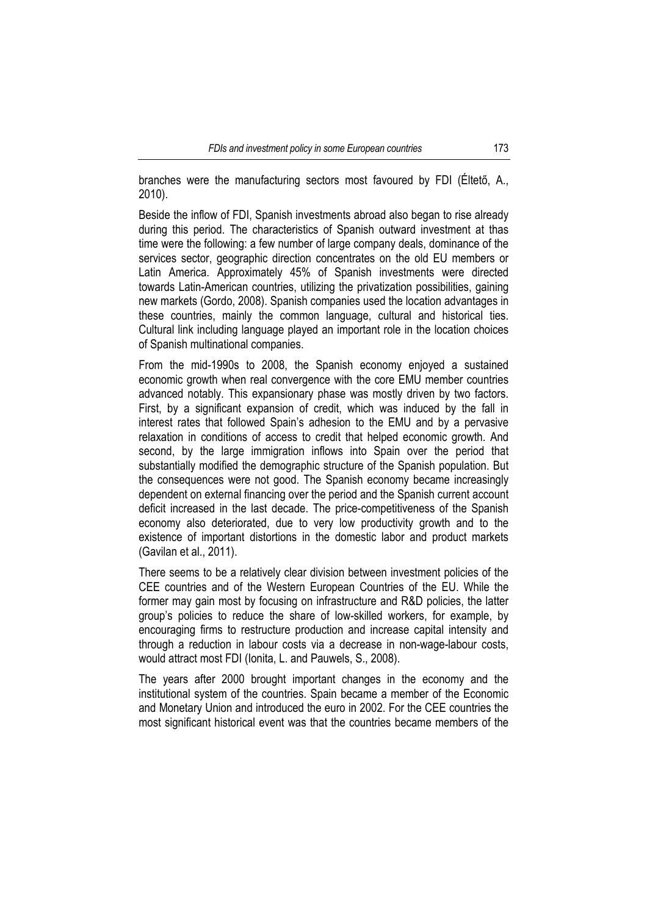branches were the manufacturing sectors most favoured by FDI (Éltető, A., 2010).

Beside the inflow of FDI, Spanish investments abroad also began to rise already during this period. The characteristics of Spanish outward investment at thas time were the following: a few number of large company deals, dominance of the services sector, geographic direction concentrates on the old EU members or Latin America. Approximately 45% of Spanish investments were directed towards Latin-American countries, utilizing the privatization possibilities, gaining new markets (Gordo, 2008). Spanish companies used the location advantages in these countries, mainly the common language, cultural and historical ties. Cultural link including language played an important role in the location choices of Spanish multinational companies.

From the mid-1990s to 2008, the Spanish economy enjoyed a sustained economic growth when real convergence with the core EMU member countries advanced notably. This expansionary phase was mostly driven by two factors. First, by a significant expansion of credit, which was induced by the fall in interest rates that followed Spain's adhesion to the EMU and by a pervasive relaxation in conditions of access to credit that helped economic growth. And second, by the large immigration inflows into Spain over the period that substantially modified the demographic structure of the Spanish population. But the consequences were not good. The Spanish economy became increasingly dependent on external financing over the period and the Spanish current account deficit increased in the last decade. The price-competitiveness of the Spanish economy also deteriorated, due to very low productivity growth and to the existence of important distortions in the domestic labor and product markets (Gavilan et al., 2011).

There seems to be a relatively clear division between investment policies of the CEE countries and of the Western European Countries of the EU. While the former may gain most by focusing on infrastructure and R&D policies, the latter group's policies to reduce the share of low-skilled workers, for example, by encouraging firms to restructure production and increase capital intensity and through a reduction in labour costs via a decrease in non-wage-labour costs, would attract most FDI (Ionita, L. and Pauwels, S., 2008).

The years after 2000 brought important changes in the economy and the institutional system of the countries. Spain became a member of the Economic and Monetary Union and introduced the euro in 2002. For the CEE countries the most significant historical event was that the countries became members of the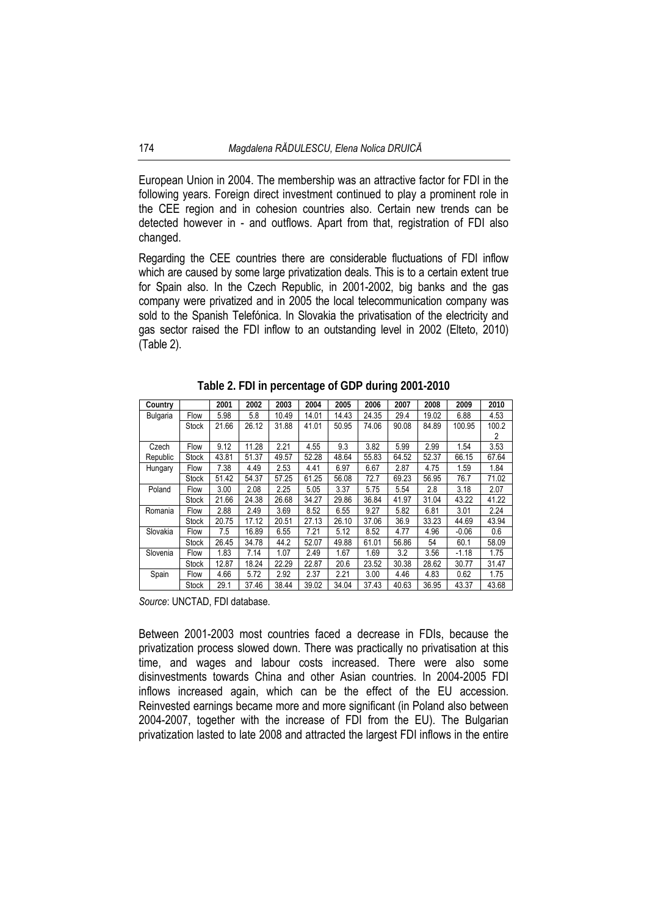European Union in 2004. The membership was an attractive factor for FDI in the following years. Foreign direct investment continued to play a prominent role in the CEE region and in cohesion countries also. Certain new trends can be detected however in - and outflows. Apart from that, registration of FDI also changed.

Regarding the CEE countries there are considerable fluctuations of FDI inflow which are caused by some large privatization deals. This is to a certain extent true for Spain also. In the Czech Republic, in 2001-2002, big banks and the gas company were privatized and in 2005 the local telecommunication company was sold to the Spanish Telefónica. In Slovakia the privatisation of the electricity and gas sector raised the FDI inflow to an outstanding level in 2002 (Elteto, 2010) (Table 2).

| Country  |              | 2001  | 2002  | 2003  | 2004  | 2005  | 2006  | 2007  | 2008  | 2009    | 2010  |
|----------|--------------|-------|-------|-------|-------|-------|-------|-------|-------|---------|-------|
| Bulgaria | Flow         | 5.98  | 5.8   | 10.49 | 14.01 | 14.43 | 24.35 | 29.4  | 19.02 | 6.88    | 4.53  |
|          | <b>Stock</b> | 21.66 | 26.12 | 31.88 | 41.01 | 50.95 | 74.06 | 90.08 | 84.89 | 100.95  | 100.2 |
|          |              |       |       |       |       |       |       |       |       |         | 2     |
| Czech    | Flow         | 9.12  | 11.28 | 2.21  | 4.55  | 9.3   | 3.82  | 5.99  | 2.99  | 1.54    | 3.53  |
| Republic | <b>Stock</b> | 43.81 | 51.37 | 49.57 | 52.28 | 48.64 | 55.83 | 64.52 | 52.37 | 66.15   | 67.64 |
| Hungary  | Flow         | 7.38  | 4.49  | 2.53  | 4.41  | 6.97  | 6.67  | 2.87  | 4.75  | 1.59    | 1.84  |
|          | Stock        | 51.42 | 54.37 | 57.25 | 61.25 | 56.08 | 72.7  | 69.23 | 56.95 | 76.7    | 71.02 |
| Poland   | Flow         | 3.00  | 2.08  | 2.25  | 5.05  | 3.37  | 5.75  | 5.54  | 2.8   | 3.18    | 2.07  |
|          | <b>Stock</b> | 21.66 | 24.38 | 26.68 | 34.27 | 29.86 | 36.84 | 41.97 | 31.04 | 43.22   | 41.22 |
| Romania  | Flow         | 2.88  | 2.49  | 3.69  | 8.52  | 6.55  | 9.27  | 5.82  | 6.81  | 3.01    | 2.24  |
|          | <b>Stock</b> | 20.75 | 17.12 | 20.51 | 27.13 | 26.10 | 37.06 | 36.9  | 33.23 | 44.69   | 43.94 |
| Slovakia | Flow         | 7.5   | 16.89 | 6.55  | 7.21  | 5.12  | 8.52  | 4.77  | 4.96  | $-0.06$ | 0.6   |
|          | <b>Stock</b> | 26.45 | 34.78 | 44.2  | 52.07 | 49.88 | 61.01 | 56.86 | 54    | 60.1    | 58.09 |
| Slovenia | Flow         | 1.83  | 7.14  | 1.07  | 2.49  | 1.67  | 1.69  | 3.2   | 3.56  | $-1.18$ | 1.75  |
|          | Stock        | 12.87 | 18.24 | 22.29 | 22.87 | 20.6  | 23.52 | 30.38 | 28.62 | 30.77   | 31.47 |
| Spain    | Flow         | 4.66  | 5.72  | 2.92  | 2.37  | 2.21  | 3.00  | 4.46  | 4.83  | 0.62    | 1.75  |
|          | Stock        | 29.1  | 37.46 | 38.44 | 39.02 | 34.04 | 37.43 | 40.63 | 36.95 | 43.37   | 43.68 |

**Table 2. FDI in percentage of GDP during 2001-2010** 

*Source*: UNCTAD, FDI database.

Between 2001-2003 most countries faced a decrease in FDIs, because the privatization process slowed down. There was practically no privatisation at this time, and wages and labour costs increased. There were also some disinvestments towards China and other Asian countries. In 2004-2005 FDI inflows increased again, which can be the effect of the EU accession. Reinvested earnings became more and more significant (in Poland also between 2004-2007, together with the increase of FDI from the EU). The Bulgarian privatization lasted to late 2008 and attracted the largest FDI inflows in the entire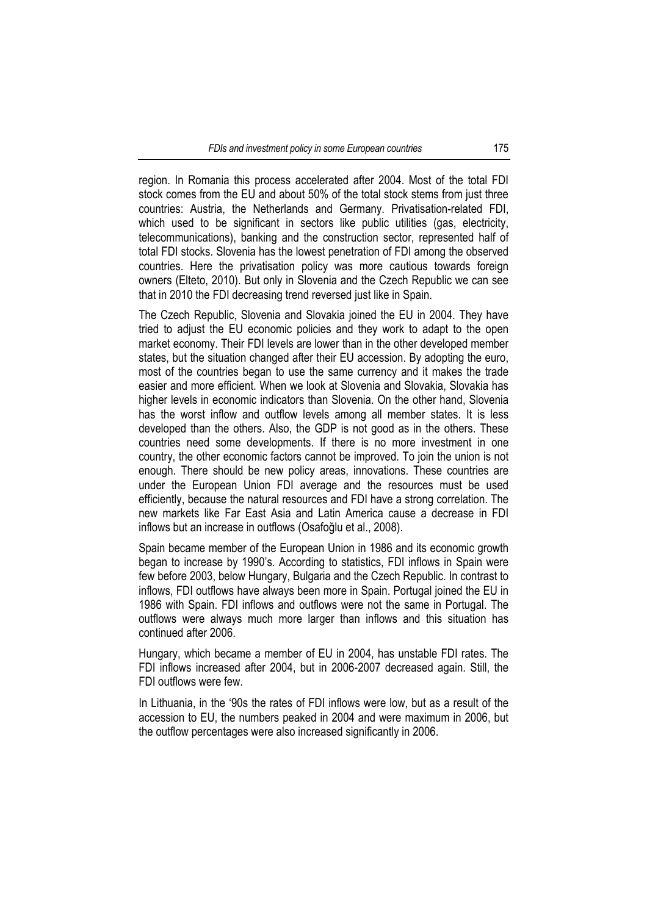region. In Romania this process accelerated after 2004. Most of the total FDI stock comes from the EU and about 50% of the total stock stems from just three countries: Austria, the Netherlands and Germany. Privatisation-related FDI, which used to be significant in sectors like public utilities (gas, electricity, telecommunications), banking and the construction sector, represented half of total FDI stocks. Slovenia has the lowest penetration of FDI among the observed countries. Here the privatisation policy was more cautious towards foreign owners (Elteto, 2010). But only in Slovenia and the Czech Republic we can see that in 2010 the FDI decreasing trend reversed just like in Spain.

The Czech Republic, Slovenia and Slovakia joined the EU in 2004. They have tried to adjust the EU economic policies and they work to adapt to the open market economy. Their FDI levels are lower than in the other developed member states, but the situation changed after their EU accession. By adopting the euro, most of the countries began to use the same currency and it makes the trade easier and more efficient. When we look at Slovenia and Slovakia, Slovakia has higher levels in economic indicators than Slovenia. On the other hand, Slovenia has the worst inflow and outflow levels among all member states. It is less developed than the others. Also, the GDP is not good as in the others. These countries need some developments. If there is no more investment in one country, the other economic factors cannot be improved. To join the union is not enough. There should be new policy areas, innovations. These countries are under the European Union FDI average and the resources must be used efficiently, because the natural resources and FDI have a strong correlation. The new markets like Far East Asia and Latin America cause a decrease in FDI inflows but an increase in outflows (Osafoğlu et al., 2008).

Spain became member of the European Union in 1986 and its economic growth began to increase by 1990's. According to statistics, FDI inflows in Spain were few before 2003, below Hungary, Bulgaria and the Czech Republic. In contrast to inflows, FDI outflows have always been more in Spain. Portugal joined the EU in 1986 with Spain. FDI inflows and outflows were not the same in Portugal. The outflows were always much more larger than inflows and this situation has continued after 2006.

Hungary, which became a member of EU in 2004, has unstable FDI rates. The FDI inflows increased after 2004, but in 2006-2007 decreased again. Still, the FDI outflows were few.

In Lithuania, in the '90s the rates of FDI inflows were low, but as a result of the accession to EU, the numbers peaked in 2004 and were maximum in 2006, but the outflow percentages were also increased significantly in 2006.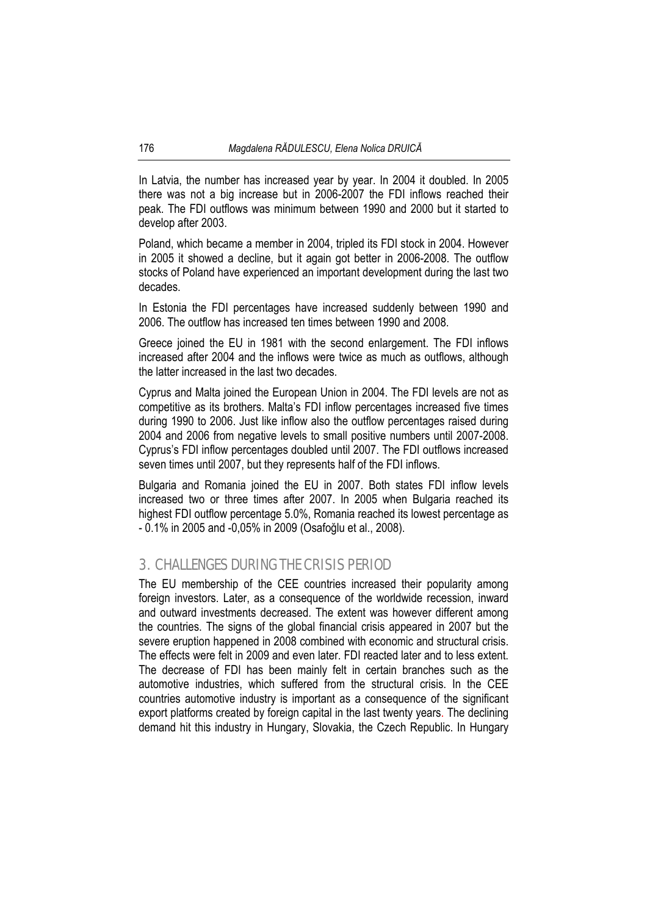In Latvia, the number has increased year by year. In 2004 it doubled. In 2005 there was not a big increase but in 2006-2007 the FDI inflows reached their peak. The FDI outflows was minimum between 1990 and 2000 but it started to develop after 2003.

Poland, which became a member in 2004, tripled its FDI stock in 2004. However in 2005 it showed a decline, but it again got better in 2006-2008. The outflow stocks of Poland have experienced an important development during the last two decades.

In Estonia the FDI percentages have increased suddenly between 1990 and 2006. The outflow has increased ten times between 1990 and 2008.

Greece joined the EU in 1981 with the second enlargement. The FDI inflows increased after 2004 and the inflows were twice as much as outflows, although the latter increased in the last two decades.

Cyprus and Malta joined the European Union in 2004. The FDI levels are not as competitive as its brothers. Malta's FDI inflow percentages increased five times during 1990 to 2006. Just like inflow also the outflow percentages raised during 2004 and 2006 from negative levels to small positive numbers until 2007-2008. Cyprus's FDI inflow percentages doubled until 2007. The FDI outflows increased seven times until 2007, but they represents half of the FDI inflows.

Bulgaria and Romania joined the EU in 2007. Both states FDI inflow levels increased two or three times after 2007. In 2005 when Bulgaria reached its highest FDI outflow percentage 5.0%, Romania reached its lowest percentage as - 0.1% in 2005 and -0,05% in 2009 (Osafoğlu et al., 2008).

## 3. CHALLENGES DURING THE CRISIS PERIOD

The EU membership of the CEE countries increased their popularity among foreign investors. Later, as a consequence of the worldwide recession, inward and outward investments decreased. The extent was however different among the countries. The signs of the global financial crisis appeared in 2007 but the severe eruption happened in 2008 combined with economic and structural crisis. The effects were felt in 2009 and even later. FDI reacted later and to less extent. The decrease of FDI has been mainly felt in certain branches such as the automotive industries, which suffered from the structural crisis. In the CEE countries automotive industry is important as a consequence of the significant export platforms created by foreign capital in the last twenty years. The declining demand hit this industry in Hungary, Slovakia, the Czech Republic. In Hungary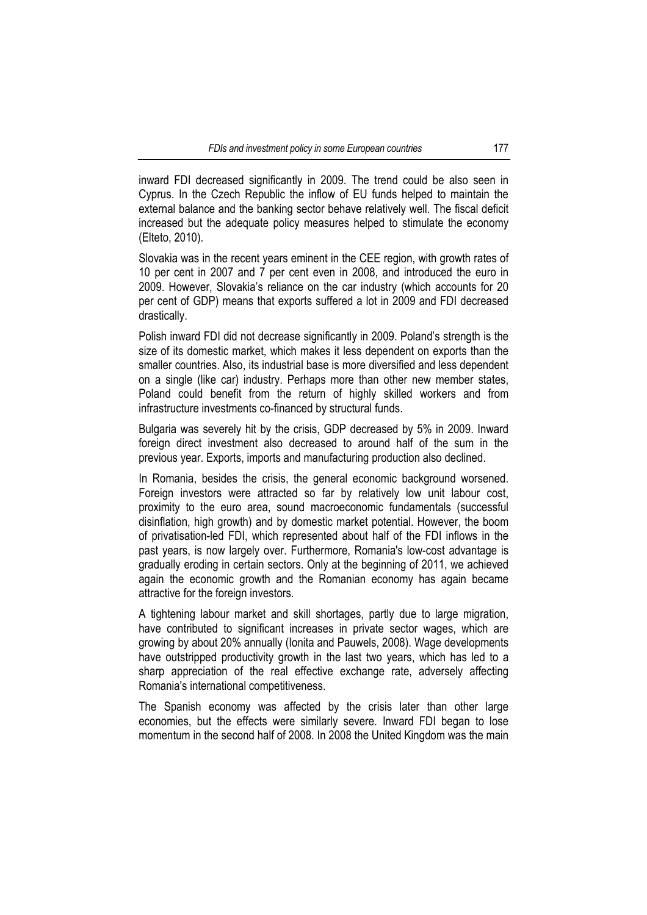inward FDI decreased significantly in 2009. The trend could be also seen in Cyprus. In the Czech Republic the inflow of EU funds helped to maintain the external balance and the banking sector behave relatively well. The fiscal deficit increased but the adequate policy measures helped to stimulate the economy (Elteto, 2010).

Slovakia was in the recent years eminent in the CEE region, with growth rates of 10 per cent in 2007 and 7 per cent even in 2008, and introduced the euro in 2009. However, Slovakia's reliance on the car industry (which accounts for 20 per cent of GDP) means that exports suffered a lot in 2009 and FDI decreased drastically.

Polish inward FDI did not decrease significantly in 2009. Poland's strength is the size of its domestic market, which makes it less dependent on exports than the smaller countries. Also, its industrial base is more diversified and less dependent on a single (like car) industry. Perhaps more than other new member states, Poland could benefit from the return of highly skilled workers and from infrastructure investments co-financed by structural funds.

Bulgaria was severely hit by the crisis, GDP decreased by 5% in 2009. Inward foreign direct investment also decreased to around half of the sum in the previous year. Exports, imports and manufacturing production also declined.

In Romania, besides the crisis, the general economic background worsened. Foreign investors were attracted so far by relatively low unit labour cost, proximity to the euro area, sound macroeconomic fundamentals (successful disinflation, high growth) and by domestic market potential. However, the boom of privatisation-led FDI, which represented about half of the FDI inflows in the past years, is now largely over. Furthermore, Romania's low-cost advantage is gradually eroding in certain sectors. Only at the beginning of 2011, we achieved again the economic growth and the Romanian economy has again became attractive for the foreign investors.

A tightening labour market and skill shortages, partly due to large migration, have contributed to significant increases in private sector wages, which are growing by about 20% annually (Ionita and Pauwels, 2008). Wage developments have outstripped productivity growth in the last two years, which has led to a sharp appreciation of the real effective exchange rate, adversely affecting Romania's international competitiveness.

The Spanish economy was affected by the crisis later than other large economies, but the effects were similarly severe. Inward FDI began to lose momentum in the second half of 2008. In 2008 the United Kingdom was the main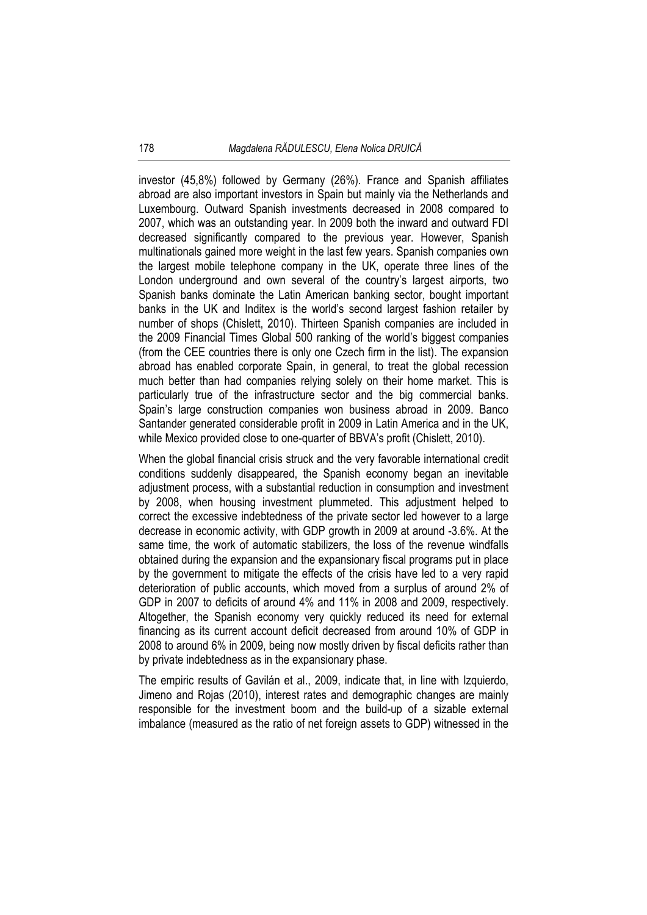investor (45,8%) followed by Germany (26%). France and Spanish affiliates abroad are also important investors in Spain but mainly via the Netherlands and Luxembourg. Outward Spanish investments decreased in 2008 compared to 2007, which was an outstanding year. In 2009 both the inward and outward FDI decreased significantly compared to the previous year. However, Spanish multinationals gained more weight in the last few years. Spanish companies own the largest mobile telephone company in the UK, operate three lines of the London underground and own several of the country's largest airports, two Spanish banks dominate the Latin American banking sector, bought important banks in the UK and Inditex is the world's second largest fashion retailer by number of shops (Chislett, 2010). Thirteen Spanish companies are included in the 2009 Financial Times Global 500 ranking of the world's biggest companies (from the CEE countries there is only one Czech firm in the list). The expansion abroad has enabled corporate Spain, in general, to treat the global recession much better than had companies relying solely on their home market. This is particularly true of the infrastructure sector and the big commercial banks. Spain's large construction companies won business abroad in 2009. Banco Santander generated considerable profit in 2009 in Latin America and in the UK, while Mexico provided close to one-quarter of BBVA's profit (Chislett, 2010).

When the global financial crisis struck and the very favorable international credit conditions suddenly disappeared, the Spanish economy began an inevitable adjustment process, with a substantial reduction in consumption and investment by 2008, when housing investment plummeted. This adjustment helped to correct the excessive indebtedness of the private sector led however to a large decrease in economic activity, with GDP growth in 2009 at around -3.6%. At the same time, the work of automatic stabilizers, the loss of the revenue windfalls obtained during the expansion and the expansionary fiscal programs put in place by the government to mitigate the effects of the crisis have led to a very rapid deterioration of public accounts, which moved from a surplus of around 2% of GDP in 2007 to deficits of around 4% and 11% in 2008 and 2009, respectively. Altogether, the Spanish economy very quickly reduced its need for external financing as its current account deficit decreased from around 10% of GDP in 2008 to around 6% in 2009, being now mostly driven by fiscal deficits rather than by private indebtedness as in the expansionary phase.

The empiric results of Gavilán et al., 2009, indicate that, in line with Izquierdo, Jimeno and Rojas (2010), interest rates and demographic changes are mainly responsible for the investment boom and the build-up of a sizable external imbalance (measured as the ratio of net foreign assets to GDP) witnessed in the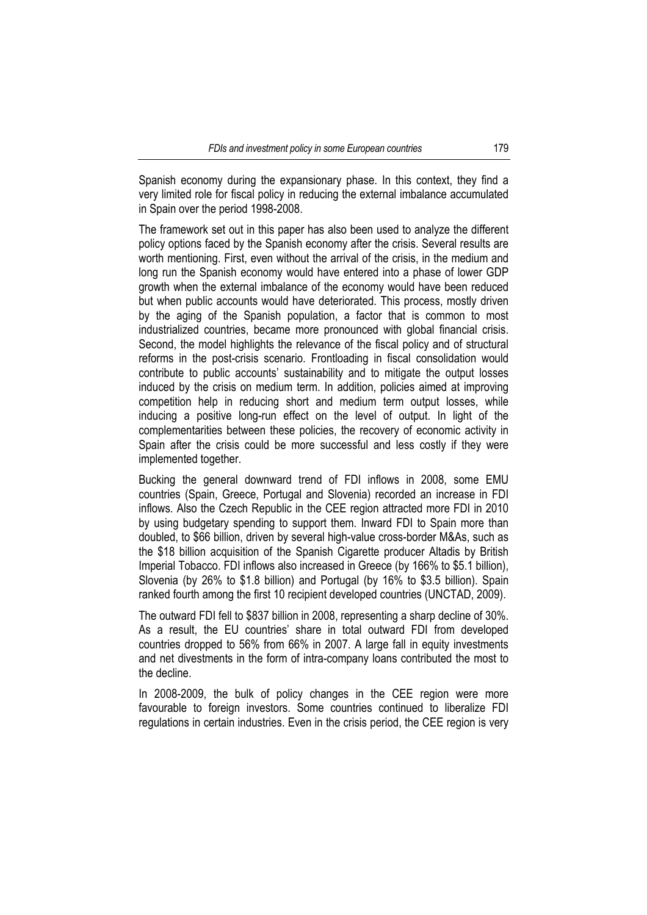Spanish economy during the expansionary phase. In this context, they find a very limited role for fiscal policy in reducing the external imbalance accumulated in Spain over the period 1998-2008.

The framework set out in this paper has also been used to analyze the different policy options faced by the Spanish economy after the crisis. Several results are worth mentioning. First, even without the arrival of the crisis, in the medium and long run the Spanish economy would have entered into a phase of lower GDP growth when the external imbalance of the economy would have been reduced but when public accounts would have deteriorated. This process, mostly driven by the aging of the Spanish population, a factor that is common to most industrialized countries, became more pronounced with global financial crisis. Second, the model highlights the relevance of the fiscal policy and of structural reforms in the post-crisis scenario. Frontloading in fiscal consolidation would contribute to public accounts' sustainability and to mitigate the output losses induced by the crisis on medium term. In addition, policies aimed at improving competition help in reducing short and medium term output losses, while inducing a positive long-run effect on the level of output. In light of the complementarities between these policies, the recovery of economic activity in Spain after the crisis could be more successful and less costly if they were implemented together.

Bucking the general downward trend of FDI inflows in 2008, some EMU countries (Spain, Greece, Portugal and Slovenia) recorded an increase in FDI inflows. Also the Czech Republic in the CEE region attracted more FDI in 2010 by using budgetary spending to support them. Inward FDI to Spain more than doubled, to \$66 billion, driven by several high-value cross-border M&As, such as the \$18 billion acquisition of the Spanish Cigarette producer Altadis by British Imperial Tobacco. FDI inflows also increased in Greece (by 166% to \$5.1 billion), Slovenia (by 26% to \$1.8 billion) and Portugal (by 16% to \$3.5 billion). Spain ranked fourth among the first 10 recipient developed countries (UNCTAD, 2009).

The outward FDI fell to \$837 billion in 2008, representing a sharp decline of 30%. As a result, the EU countries' share in total outward FDI from developed countries dropped to 56% from 66% in 2007. A large fall in equity investments and net divestments in the form of intra-company loans contributed the most to the decline.

In 2008-2009, the bulk of policy changes in the CEE region were more favourable to foreign investors. Some countries continued to liberalize FDI regulations in certain industries. Even in the crisis period, the CEE region is very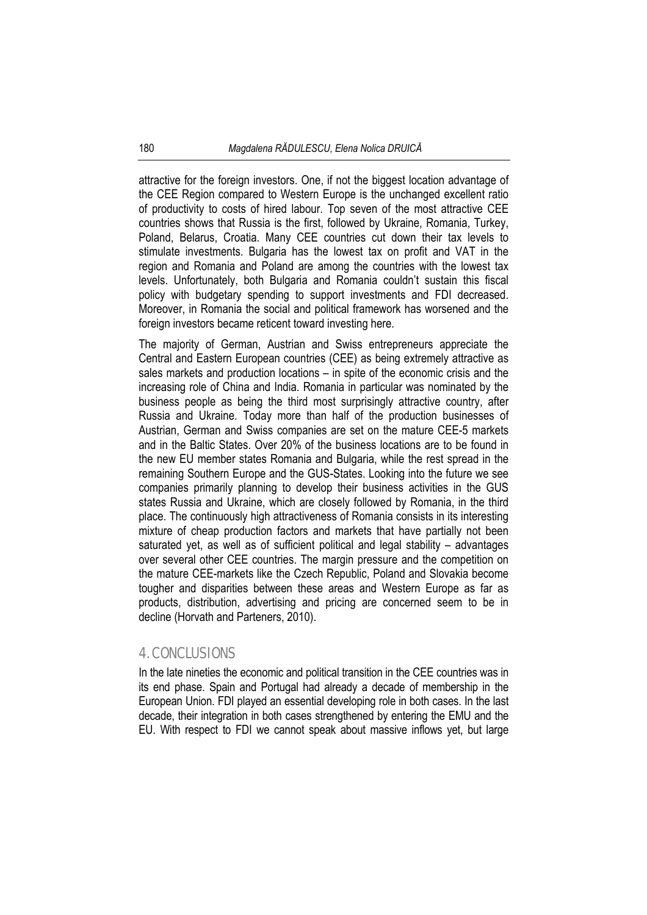attractive for the foreign investors. One, if not the biggest location advantage of the CEE Region compared to Western Europe is the unchanged excellent ratio of productivity to costs of hired labour. Top seven of the most attractive CEE countries shows that Russia is the first, followed by Ukraine, Romania, Turkey, Poland, Belarus, Croatia. Many CEE countries cut down their tax levels to stimulate investments. Bulgaria has the lowest tax on profit and VAT in the region and Romania and Poland are among the countries with the lowest tax levels. Unfortunately, both Bulgaria and Romania couldn't sustain this fiscal policy with budgetary spending to support investments and FDI decreased. Moreover, in Romania the social and political framework has worsened and the foreign investors became reticent toward investing here.

The majority of German, Austrian and Swiss entrepreneurs appreciate the Central and Eastern European countries (CEE) as being extremely attractive as sales markets and production locations – in spite of the economic crisis and the increasing role of China and India. Romania in particular was nominated by the business people as being the third most surprisingly attractive country, after Russia and Ukraine. Today more than half of the production businesses of Austrian, German and Swiss companies are set on the mature CEE-5 markets and in the Baltic States. Over 20% of the business locations are to be found in the new EU member states Romania and Bulgaria, while the rest spread in the remaining Southern Europe and the GUS-States. Looking into the future we see companies primarily planning to develop their business activities in the GUS states Russia and Ukraine, which are closely followed by Romania, in the third place. The continuously high attractiveness of Romania consists in its interesting mixture of cheap production factors and markets that have partially not been saturated yet, as well as of sufficient political and legal stability – advantages over several other CEE countries. The margin pressure and the competition on the mature CEE-markets like the Czech Republic, Poland and Slovakia become tougher and disparities between these areas and Western Europe as far as products, distribution, advertising and pricing are concerned seem to be in decline (Horvath and Parteners, 2010).

## 4. CONCLUSIONS

In the late nineties the economic and political transition in the CEE countries was in its end phase. Spain and Portugal had already a decade of membership in the European Union. FDI played an essential developing role in both cases. In the last decade, their integration in both cases strengthened by entering the EMU and the EU. With respect to FDI we cannot speak about massive inflows yet, but large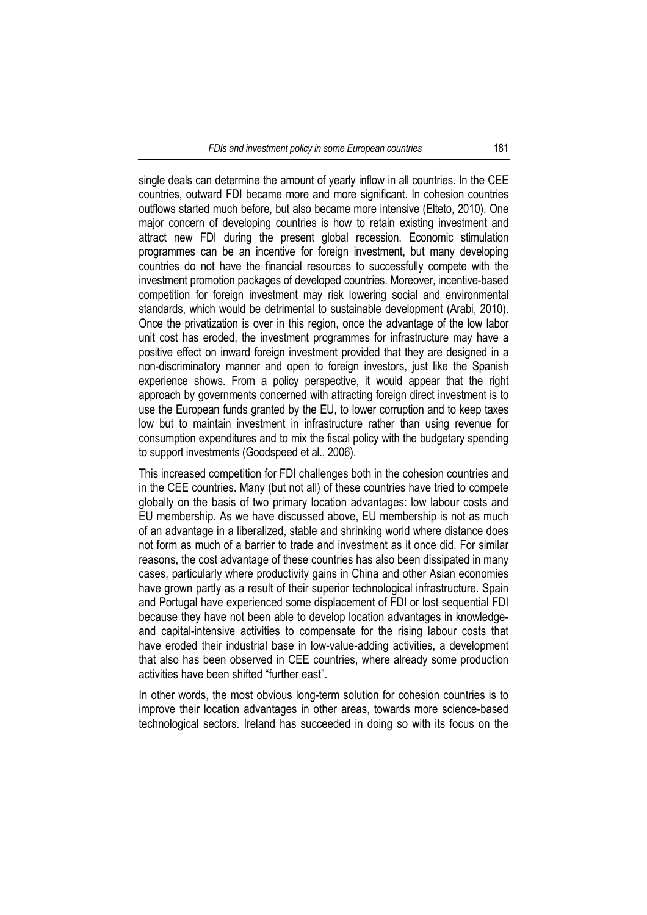single deals can determine the amount of yearly inflow in all countries. In the CEE countries, outward FDI became more and more significant. In cohesion countries outflows started much before, but also became more intensive (Elteto, 2010). One major concern of developing countries is how to retain existing investment and attract new FDI during the present global recession. Economic stimulation programmes can be an incentive for foreign investment, but many developing countries do not have the financial resources to successfully compete with the investment promotion packages of developed countries. Moreover, incentive-based competition for foreign investment may risk lowering social and environmental standards, which would be detrimental to sustainable development (Arabi, 2010). Once the privatization is over in this region, once the advantage of the low labor unit cost has eroded, the investment programmes for infrastructure may have a positive effect on inward foreign investment provided that they are designed in a non-discriminatory manner and open to foreign investors, just like the Spanish experience shows. From a policy perspective, it would appear that the right approach by governments concerned with attracting foreign direct investment is to use the European funds granted by the EU, to lower corruption and to keep taxes low but to maintain investment in infrastructure rather than using revenue for consumption expenditures and to mix the fiscal policy with the budgetary spending to support investments (Goodspeed et al., 2006).

This increased competition for FDI challenges both in the cohesion countries and in the CEE countries. Many (but not all) of these countries have tried to compete globally on the basis of two primary location advantages: low labour costs and EU membership. As we have discussed above, EU membership is not as much of an advantage in a liberalized, stable and shrinking world where distance does not form as much of a barrier to trade and investment as it once did. For similar reasons, the cost advantage of these countries has also been dissipated in many cases, particularly where productivity gains in China and other Asian economies have grown partly as a result of their superior technological infrastructure. Spain and Portugal have experienced some displacement of FDI or lost sequential FDI because they have not been able to develop location advantages in knowledgeand capital-intensive activities to compensate for the rising labour costs that have eroded their industrial base in low-value-adding activities, a development that also has been observed in CEE countries, where already some production activities have been shifted "further east".

In other words, the most obvious long-term solution for cohesion countries is to improve their location advantages in other areas, towards more science-based technological sectors. Ireland has succeeded in doing so with its focus on the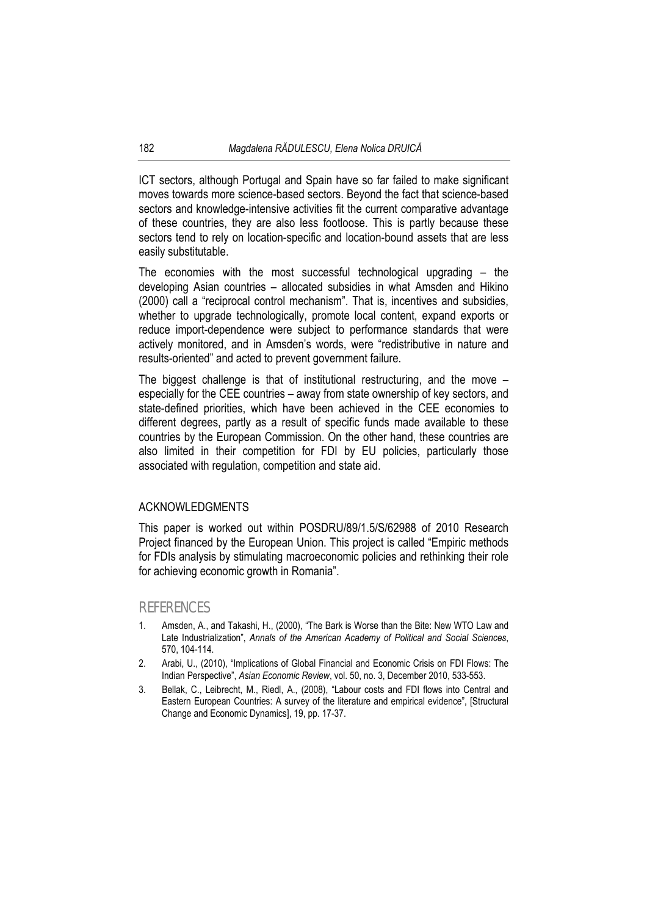ICT sectors, although Portugal and Spain have so far failed to make significant moves towards more science-based sectors. Beyond the fact that science-based sectors and knowledge-intensive activities fit the current comparative advantage of these countries, they are also less footloose. This is partly because these sectors tend to rely on location-specific and location-bound assets that are less easily substitutable.

The economies with the most successful technological upgrading – the developing Asian countries – allocated subsidies in what Amsden and Hikino (2000) call a "reciprocal control mechanism". That is, incentives and subsidies, whether to upgrade technologically, promote local content, expand exports or reduce import-dependence were subject to performance standards that were actively monitored, and in Amsden's words, were "redistributive in nature and results-oriented" and acted to prevent government failure.

The biggest challenge is that of institutional restructuring, and the move – especially for the CEE countries – away from state ownership of key sectors, and state-defined priorities, which have been achieved in the CEE economies to different degrees, partly as a result of specific funds made available to these countries by the European Commission. On the other hand, these countries are also limited in their competition for FDI by EU policies, particularly those associated with regulation, competition and state aid.

### ACKNOWLEDGMENTS

This paper is worked out within POSDRU/89/1.5/S/62988 of 2010 Research Project financed by the European Union. This project is called "Empiric methods for FDIs analysis by stimulating macroeconomic policies and rethinking their role for achieving economic growth in Romania".

#### REFERENCES

- Amsden, A., and Takashi, H., (2000), "The Bark is Worse than the Bite: New WTO Law and Late Industrialization", *Annals of the American Academy of Political and Social Sciences*, 570, 104-114.
- 2. Arabi, U., (2010), "Implications of Global Financial and Economic Crisis on FDI Flows: The Indian Perspective", *Asian Economic Review*, vol. 50, no. 3, December 2010, 533-553.
- 3. Bellak, C., Leibrecht, M., Riedl, A., (2008), "Labour costs and FDI flows into Central and Eastern European Countries: A survey of the literature and empirical evidence", [Structural Change and Economic Dynamics], 19, pp. 17-37.